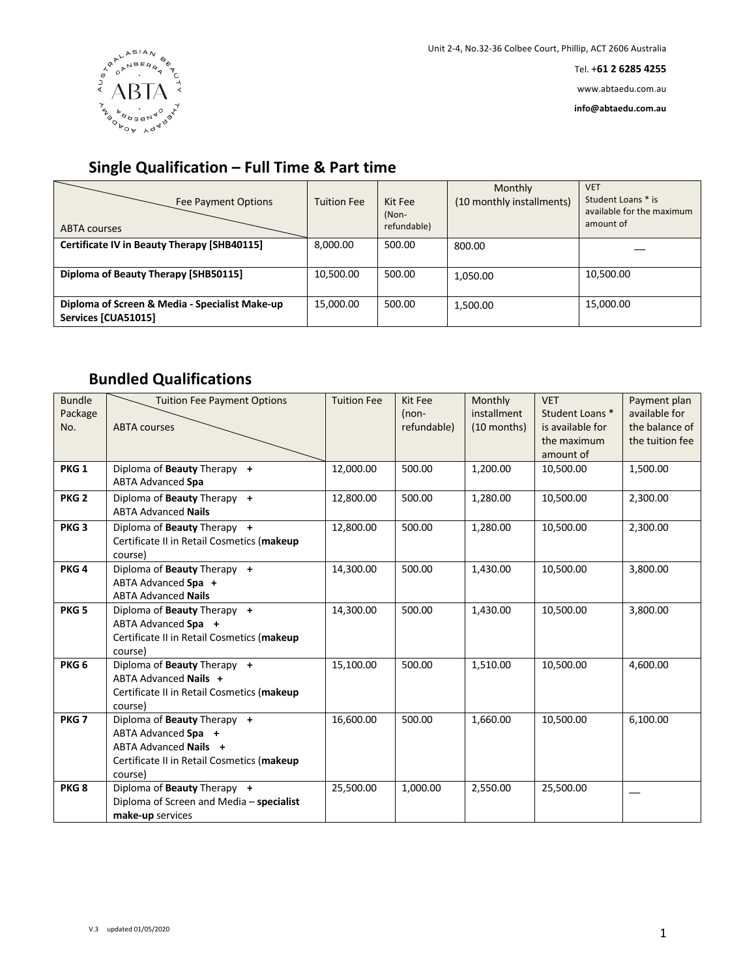

Tel. +**61 2 6285 4255**

www.abtaedu.com.au

**info@abtaedu.com.au**

## **Single Qualification – Full Time & Part time**

| Fee Payment Options<br><b>ABTA courses</b>                            | <b>Tuition Fee</b> | Kit Fee<br>(Non-<br>refundable) | Monthly<br>(10 monthly installments) | <b>VET</b><br>Student Loans * is<br>available for the maximum<br>amount of |
|-----------------------------------------------------------------------|--------------------|---------------------------------|--------------------------------------|----------------------------------------------------------------------------|
| Certificate IV in Beauty Therapy [SHB40115]                           | 8.000.00           | 500.00                          | 800.00                               |                                                                            |
| Diploma of Beauty Therapy [SHB50115]                                  | 10,500.00          | 500.00                          | 1,050.00                             | 10,500.00                                                                  |
| Diploma of Screen & Media - Specialist Make-up<br>Services [CUA51015] | 15,000.00          | 500.00                          | 1,500.00                             | 15,000.00                                                                  |

## **Bundled Qualifications**

| <b>Bundle</b><br>Package<br>No. | <b>Tuition Fee Payment Options</b><br><b>ABTA</b> courses                                                                            | <b>Tuition Fee</b> | Kit Fee<br>$(non-$<br>refundable) | Monthly<br>installment<br>$(10$ months) | <b>VET</b><br>Student Loans *<br>is available for<br>the maximum<br>amount of | Payment plan<br>available for<br>the balance of<br>the tuition fee |
|---------------------------------|--------------------------------------------------------------------------------------------------------------------------------------|--------------------|-----------------------------------|-----------------------------------------|-------------------------------------------------------------------------------|--------------------------------------------------------------------|
| PKG <sub>1</sub>                | Diploma of Beauty Therapy +<br><b>ABTA Advanced Spa</b>                                                                              | 12,000.00          | 500.00                            | 1,200.00                                | 10,500.00                                                                     | 1,500.00                                                           |
| PKG <sub>2</sub>                | Diploma of Beauty Therapy +<br><b>ABTA Advanced Nails</b>                                                                            | 12,800.00          | 500.00                            | 1,280.00                                | 10,500.00                                                                     | 2,300.00                                                           |
| PKG <sub>3</sub>                | Diploma of Beauty Therapy +<br>Certificate II in Retail Cosmetics (makeup<br>course)                                                 | 12,800.00          | 500.00                            | 1,280.00                                | 10,500.00                                                                     | 2,300.00                                                           |
| PKG <sub>4</sub>                | Diploma of Beauty Therapy +<br>ABTA Advanced Spa +<br><b>ABTA Advanced Nails</b>                                                     | 14,300.00          | 500.00                            | 1,430.00                                | 10,500.00                                                                     | 3,800.00                                                           |
| PKG <sub>5</sub>                | Diploma of Beauty Therapy +<br>ABTA Advanced Spa +<br>Certificate II in Retail Cosmetics (makeup<br>course)                          | 14,300.00          | 500.00                            | 1,430.00                                | 10,500.00                                                                     | 3,800.00                                                           |
| PKG <sub>6</sub>                | Diploma of Beauty Therapy +<br>ABTA Advanced Nails +<br>Certificate II in Retail Cosmetics (makeup<br>course)                        | 15,100.00          | 500.00                            | 1,510.00                                | 10,500.00                                                                     | 4,600.00                                                           |
| PKG <sub>7</sub>                | Diploma of Beauty Therapy +<br>ABTA Advanced Spa +<br>ABTA Advanced Nails +<br>Certificate II in Retail Cosmetics (makeup<br>course) | 16,600.00          | 500.00                            | 1,660.00                                | 10,500.00                                                                     | 6,100.00                                                           |
| PKG <sub>8</sub>                | Diploma of Beauty Therapy +<br>Diploma of Screen and Media - specialist<br>make-up services                                          | 25,500.00          | 1,000.00                          | 2,550.00                                | 25,500.00                                                                     |                                                                    |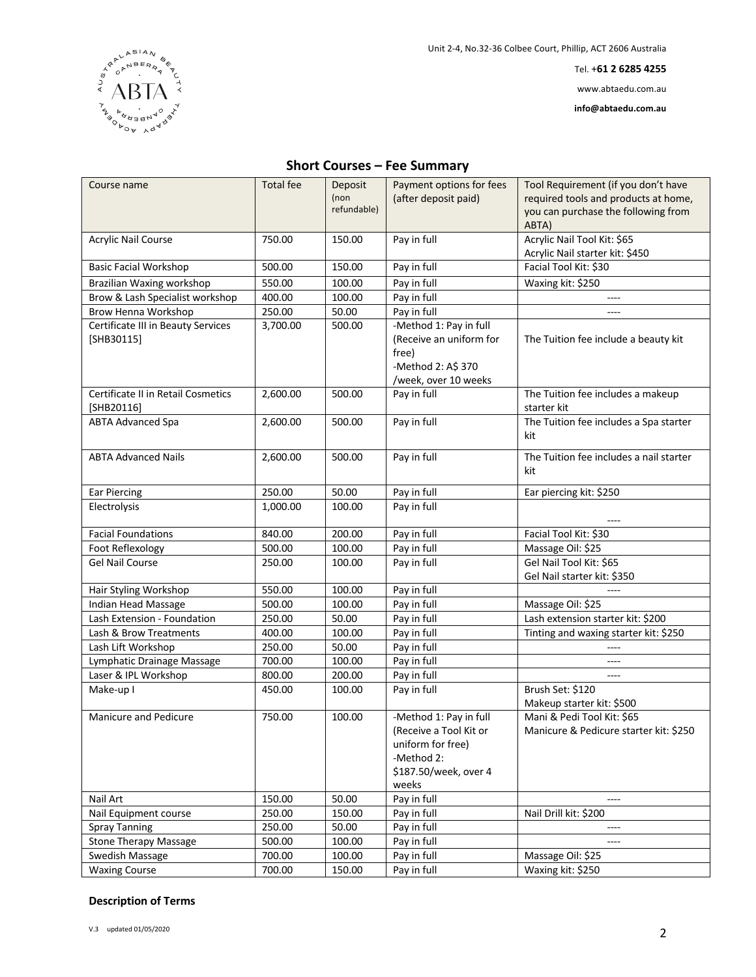

Tel. +**61 2 6285 4255**

www.abtaedu.com.au

**info@abtaedu.com.au**

## **Short Courses – Fee Summary**

| Course name                                        | <b>Total fee</b> | Deposit<br>(non<br>refundable) | Payment options for fees<br>(after deposit paid)                                                                      | Tool Requirement (if you don't have<br>required tools and products at home,<br>you can purchase the following from<br>ABTA) |
|----------------------------------------------------|------------------|--------------------------------|-----------------------------------------------------------------------------------------------------------------------|-----------------------------------------------------------------------------------------------------------------------------|
| <b>Acrylic Nail Course</b>                         | 750.00           | 150.00                         | Pay in full                                                                                                           | Acrylic Nail Tool Kit: \$65<br>Acrylic Nail starter kit: \$450                                                              |
| <b>Basic Facial Workshop</b>                       | 500.00           | 150.00                         | Pay in full                                                                                                           | Facial Tool Kit: \$30                                                                                                       |
| Brazilian Waxing workshop                          | 550.00           | 100.00                         | Pay in full                                                                                                           | Waxing kit: \$250                                                                                                           |
| Brow & Lash Specialist workshop                    | 400.00           | 100.00                         | Pay in full                                                                                                           |                                                                                                                             |
| Brow Henna Workshop                                | 250.00           | 50.00                          | Pay in full                                                                                                           | ----                                                                                                                        |
| Certificate III in Beauty Services<br>$[SHB30115]$ | 3,700.00         | 500.00                         | -Method 1: Pay in full<br>(Receive an uniform for<br>free)<br>-Method 2: A\$ 370<br>/week, over 10 weeks              | The Tuition fee include a beauty kit                                                                                        |
| Certificate II in Retail Cosmetics<br>[SHB20116]   | 2,600.00         | 500.00                         | Pay in full                                                                                                           | The Tuition fee includes a makeup<br>starter kit                                                                            |
| <b>ABTA Advanced Spa</b>                           | 2,600.00         | 500.00                         | Pay in full                                                                                                           | The Tuition fee includes a Spa starter<br>kit                                                                               |
| <b>ABTA Advanced Nails</b>                         | 2,600.00         | 500.00                         | Pay in full                                                                                                           | The Tuition fee includes a nail starter<br>kit                                                                              |
| <b>Ear Piercing</b>                                | 250.00           | 50.00                          | Pay in full                                                                                                           | Ear piercing kit: \$250                                                                                                     |
| Electrolysis                                       | 1,000.00         | 100.00                         | Pay in full                                                                                                           |                                                                                                                             |
| <b>Facial Foundations</b>                          | 840.00           | 200.00                         | Pay in full                                                                                                           | Facial Tool Kit: \$30                                                                                                       |
| Foot Reflexology                                   | 500.00           | 100.00                         | Pay in full                                                                                                           | Massage Oil: \$25                                                                                                           |
| <b>Gel Nail Course</b>                             | 250.00           | 100.00                         | Pay in full                                                                                                           | Gel Nail Tool Kit: \$65<br>Gel Nail starter kit: \$350                                                                      |
| Hair Styling Workshop                              | 550.00           | 100.00                         | Pay in full                                                                                                           |                                                                                                                             |
| Indian Head Massage                                | 500.00           | 100.00                         | Pay in full                                                                                                           | Massage Oil: \$25                                                                                                           |
| Lash Extension - Foundation                        | 250.00           | 50.00                          | Pay in full                                                                                                           | Lash extension starter kit: \$200                                                                                           |
| Lash & Brow Treatments                             | 400.00           | 100.00                         | Pay in full                                                                                                           | Tinting and waxing starter kit: \$250                                                                                       |
| Lash Lift Workshop                                 | 250.00           | 50.00                          | Pay in full                                                                                                           | ----                                                                                                                        |
| Lymphatic Drainage Massage                         | 700.00           | 100.00                         | Pay in full                                                                                                           | $---$                                                                                                                       |
| Laser & IPL Workshop                               | 800.00           | 200.00                         | Pay in full                                                                                                           | ----                                                                                                                        |
| Make-up I                                          | 450.00           | 100.00                         | Pay in full                                                                                                           | Brush Set: \$120<br>Makeup starter kit: \$500                                                                               |
| Manicure and Pedicure                              | 750.00           | 100.00                         | -Method 1: Pay in full<br>(Receive a Tool Kit or<br>uniform for free)<br>-Method 2:<br>\$187.50/week, over 4<br>weeks | Mani & Pedi Tool Kit: \$65<br>Manicure & Pedicure starter kit: \$250                                                        |
| Nail Art                                           | 150.00           | 50.00                          | Pay in full                                                                                                           |                                                                                                                             |
| Nail Equipment course                              | 250.00           | 150.00                         | Pay in full                                                                                                           | Nail Drill kit: \$200                                                                                                       |
| <b>Spray Tanning</b>                               | 250.00           | 50.00                          | Pay in full                                                                                                           |                                                                                                                             |
| <b>Stone Therapy Massage</b>                       | 500.00           | 100.00                         | Pay in full                                                                                                           |                                                                                                                             |
| Swedish Massage                                    | 700.00           | 100.00                         | Pay in full                                                                                                           | Massage Oil: \$25                                                                                                           |
| <b>Waxing Course</b>                               | 700.00           | 150.00                         | Pay in full                                                                                                           | Waxing kit: \$250                                                                                                           |

## **Description of Terms**